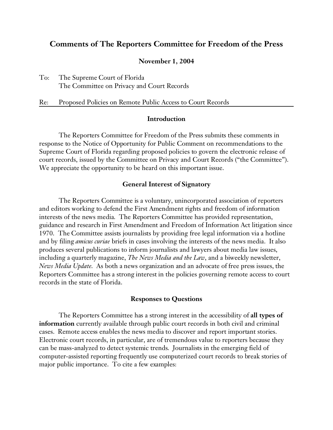# **Comments of The Reporters Committee for Freedom of the Press**

#### **November 1, 2004**

To: The Supreme Court of Florida The Committee on Privacy and Court Records

#### Re: Proposed Policies on Remote Public Access to Court Records

## **Introduction**

The Reporters Committee for Freedom of the Press submits these comments in response to the Notice of Opportunity for Public Comment on recommendations to the Supreme Court of Florida regarding proposed policies to govern the electronic release of court records, issued by the Committee on Privacy and Court Records ("the Committee"). We appreciate the opportunity to be heard on this important issue.

#### **General Interest of Signatory**

The Reporters Committee is a voluntary, unincorporated association of reporters and editors working to defend the First Amendment rights and freedom of information interests of the news media. The Reporters Committee has provided representation, guidance and research in First Amendment and Freedom of Information Act litigation since 1970. The Committee assists journalists by providing free legal information via a hotline and by filing *amicus curiae* briefs in cases involving the interests of the news media. It also produces several publications to inform journalists and lawyers about media law issues, including a quarterly magazine, *The News Media and the Law*, and a biweekly newsletter, *News Media Update*. As both a news organization and an advocate of free press issues, the Reporters Committee has a strong interest in the policies governing remote access to court records in the state of Florida.

#### **Responses to Questions**

The Reporters Committee has a strong interest in the accessibility of **all types of information** currently available through public court records in both civil and criminal cases. Remote access enables the news media to discover and report important stories. Electronic court records, in particular, are of tremendous value to reporters because they can be mass-analyzed to detect systemic trends. Journalists in the emerging field of computer-assisted reporting frequently use computerized court records to break stories of major public importance. To cite a few examples: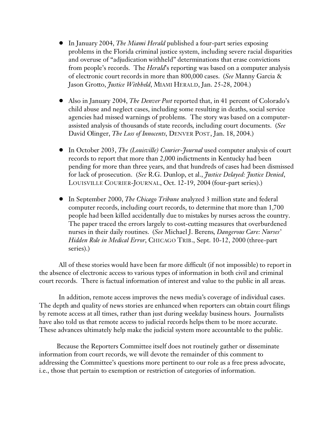- ! In January 2004, *The Miami Herald* published a four-part series exposing problems in the Florida criminal justice system, including severe racial disparities and overuse of "adjudication withheld" determinations that erase convictions from people's records. The *Herald*'s reporting was based on a computer analysis of electronic court records in more than 800,000 cases. (*See* Manny Garcia & Jason Grotto, *Justice Withheld*, MIAMI HERALD, Jan. 25-28, 2004.)
- ! Also in January 2004, *The Denver Post* reported that, in 41 percent of Colorado's child abuse and neglect cases, including some resulting in deaths, social service agencies had missed warnings of problems. The story was based on a computerassisted analysis of thousands of state records, including court documents. (*See* David Olinger, *The Loss of Innocents*, DENVER POST, Jan. 18, 2004.)
- ! In October 2003, *The (Louisville) Courier-Journal* used computer analysis of court records to report that more than 2,000 indictments in Kentucky had been pending for more than three years, and that hundreds of cases had been dismissed for lack of prosecution. (*See* R.G. Dunlop, et al., *Justice Delayed: Justice Denied*, LOUISVILLE COURIER-JOURNAL, Oct. 12-19, 2004 (four-part series).)
- ! In September 2000, *The Chicago Tribune* analyzed 3 million state and federal computer records, including court records, to determine that more than 1,700 people had been killed accidentally due to mistakes by nurses across the country. The paper traced the errors largely to cost-cutting measures that overburdened nurses in their daily routines. (*See* Michael J. Berens, *Dangerous Care: Nurses' Hidden Role in Medical Error*, CHICAGO TRIB., Sept. 10-12, 2000 (three-part series).)

All of these stories would have been far more difficult (if not impossible) to report in the absence of electronic access to various types of information in both civil and criminal court records. There is factual information of interest and value to the public in all areas.

In addition, remote access improves the news media's coverage of individual cases. The depth and quality of news stories are enhanced when reporters can obtain court filings by remote access at all times, rather than just during weekday business hours. Journalists have also told us that remote access to judicial records helps them to be more accurate. These advances ultimately help make the judicial system more accountable to the public.

Because the Reporters Committee itself does not routinely gather or disseminate information from court records, we will devote the remainder of this comment to addressing the Committee's questions more pertinent to our role as a free press advocate, i.e., those that pertain to exemption or restriction of categories of information.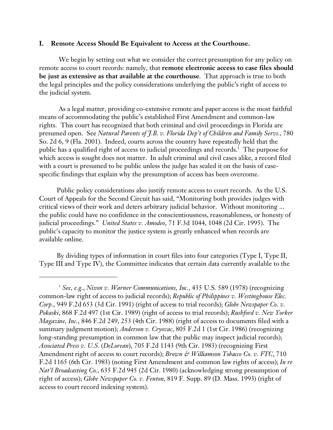# **I. Remote Access Should Be Equivalent to Access at the Courthouse.**

We begin by setting out what we consider the correct presumption for any policy on remote access to court records: namely, that **remote electronic access to case files should be just as extensive as that available at the courthouse**. That approach is true to both the legal principles and the policy considerations underlying the public's right of access to the judicial system.

As a legal matter, providing co-extensive remote and paper access is the most faithful means of accommodating the public's established First Amendment and common-law rights. This court has recognized that both criminal and civil proceedings in Florida are presumed open. See *Natural Parents of J.B. v. Florida Dep't of Children and Family Servs.,* 780 So. 2d 6, 9 (Fla. 2001). Indeed, courts across the country have repeatedly held that the public has a qualified right of access to judicial proceedings and records. $^{\rm 1}$  The purpose for which access is sought does not matter. In adult criminal and civil cases alike, a record filed with a court is presumed to be public unless the judge has sealed it on the basis of casespecific findings that explain why the presumption of access has been overcome.

Public policy considerations also justify remote access to court records. As the U.S. Court of Appeals for the Second Circuit has said, "Monitoring both provides judges with critical views of their work and deters arbitrary judicial behavior. Without monitoring ... the public could have no confidence in the conscientiousness, reasonableness, or honesty of judicial proceedings." *United States v. Amodeo*, 71 F.3d 1044, 1048 (2d Cir. 1995). The public's capacity to monitor the justice system is greatly enhanced when records are available online.

By dividing types of information in court files into four categories (Type I, Type II, Type III and Type IV), the Committee indicates that certain data currently available to the

<sup>&</sup>lt;sup>1</sup> See, e.g., *Nixon v. Warner Communications, Inc.*, 435 U.S. 589 (1978) (recognizing common-law right of access to judicial records); *Republic of Philippines v. Westinghouse Elec. Corp.*, 949 F.2d 653 (3d Cir. 1991) (right of access to trial records); *Globe Newspaper Co. v. Pokaski*, 868 F.2d 497 (1st Cir. 1989) (right of access to trial records); *Rushford v. New Yorker Magazine, Inc*., 846 F.2d 249, 253 (4th Cir. 1988) (right of access to documents filed with a summary judgment motion); *Anderson v. Cryovac*, 805 F.2d 1 (1st Cir. 1986) (recognizing long-standing presumption in common law that the public may inspect judicial records); *Associated Press v. U.S.* (*DeLorean*), 705 F.2d 1143 (9th Cir. 1983) (recognizing First Amendment right of access to court records); *Brown & Williamson Tobacco Co. v. FTC*, 710 F.2d 1165 (6th Cir. 1983) (noting First Amendment and common law rights of access); *In re Nat'l Broadcasting Co.*, 635 F.2d 945 (2d Cir. 1980) (acknowledging strong presumption of right of access); *Globe Newspaper Co. v. Fenton*, 819 F. Supp. 89 (D. Mass. 1993) (right of access to court record indexing system).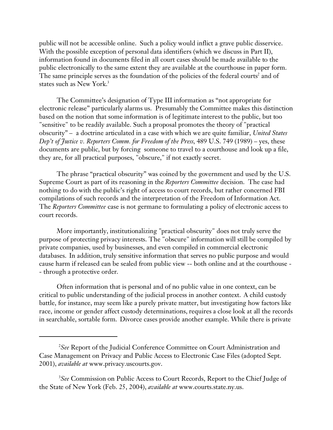public will not be accessible online. Such a policy would inflict a grave public disservice. With the possible exception of personal data identifiers (which we discuss in Part II), information found in documents filed in all court cases should be made available to the public electronically to the same extent they are available at the courthouse in paper form. The same principle serves as the foundation of the policies of the federal courts<sup>2</sup> and of states such as New York.<sup>3</sup>

The Committee's designation of Type III information as "not appropriate for electronic release" particularly alarms us. Presumably the Committee makes this distinction based on the notion that some information is of legitimate interest to the public, but too "sensitive" to be readily available. Such a proposal promotes the theory of "practical obscurity" – a doctrine articulated in a case with which we are quite familiar, *United States Dep't of Justice v. Reporters Comm. for Freedom of the Press*, 489 U.S. 749 (1989) – yes, these documents are public, but by forcing someone to travel to a courthouse and look up a file, they are, for all practical purposes, "obscure," if not exactly secret.

The phrase "practical obscurity" was coined by the government and used by the U.S. Supreme Court as part of its reasoning in the *Reporters Committee* decision. The case had nothing to do with the public's right of access to court records, but rather concerned FBI compilations of such records and the interpretation of the Freedom of Information Act. The *Reporters Committee* case is not germane to formulating a policy of electronic access to court records.

More importantly, institutionalizing "practical obscurity" does not truly serve the purpose of protecting privacy interests. The "obscure" information will still be compiled by private companies, used by businesses, and even compiled in commercial electronic databases. In addition, truly sensitive information that serves no public purpose and would cause harm if released can be sealed from public view -- both online and at the courthouse - - through a protective order.

Often information that is personal and of no public value in one context, can be critical to public understanding of the judicial process in another context. A child custody battle, for instance, may seem like a purely private matter, but investigating how factors like race, income or gender affect custody determinations, requires a close look at all the records in searchable, sortable form. Divorce cases provide another example. While there is private

<sup>2</sup>*See* Report of the Judicial Conference Committee on Court Administration and Case Management on Privacy and Public Access to Electronic Case Files (adopted Sept. 2001), *available at* www.privacy.uscourts.gov.

<sup>3</sup>*See* Commission on Public Access to Court Records, Report to the Chief Judge of the State of New York (Feb. 25, 2004), *available at* www.courts.state.ny.us.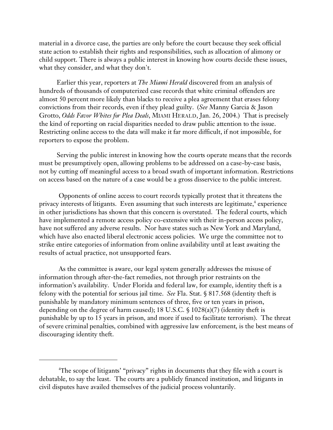material in a divorce case, the parties are only before the court because they seek official state action to establish their rights and responsibilities, such as allocation of alimony or child support. There is always a public interest in knowing how courts decide these issues, what they consider, and what they don't.

Earlier this year, reporters at *The Miami Herald* discovered from an analysis of hundreds of thousands of computerized case records that white criminal offenders are almost 50 percent more likely than blacks to receive a plea agreement that erases felony convictions from their records, even if they plead guilty. (*See* Manny Garcia & Jason Grotto, *Odds Favor Whites for Plea Deals*, MIAMI HERALD, Jan. 26, 2004.) That is precisely the kind of reporting on racial disparities needed to draw public attention to the issue. Restricting online access to the data will make it far more difficult, if not impossible, for reporters to expose the problem.

Serving the public interest in knowing how the courts operate means that the records must be presumptively open, allowing problems to be addressed on a case-by-case basis, not by cutting off meaningful access to a broad swath of important information. Restrictions on access based on the nature of a case would be a gross disservice to the public interest.

Opponents of online access to court records typically protest that it threatens the privacy interests of litigants. Even assuming that such interests are legitimate,<sup>4</sup> experience in other jurisdictions has shown that this concern is overstated. The federal courts, which have implemented a remote access policy co-extensive with their in-person access policy, have not suffered any adverse results. Nor have states such as New York and Maryland, which have also enacted liberal electronic access policies. We urge the committee not to strike entire categories of information from online availability until at least awaiting the results of actual practice, not unsupported fears.

As the committee is aware, our legal system generally addresses the misuse of information through after-the-fact remedies, not through prior restraints on the information's availability. Under Florida and federal law, for example, identity theft is a felony with the potential for serious jail time. *See* Fla. Stat. § 817.568 (identity theft is punishable by mandatory minimum sentences of three, five or ten years in prison, depending on the degree of harm caused); 18 U.S.C. § 1028(a)(7) (identity theft is punishable by up to 15 years in prison, and more if used to facilitate terrorism). The threat of severe criminal penalties, combined with aggressive law enforcement, is the best means of discouraging identity theft.

<sup>4</sup>The scope of litigants' "privacy" rights in documents that they file with a court is debatable, to say the least. The courts are a publicly financed institution, and litigants in civil disputes have availed themselves of the judicial process voluntarily.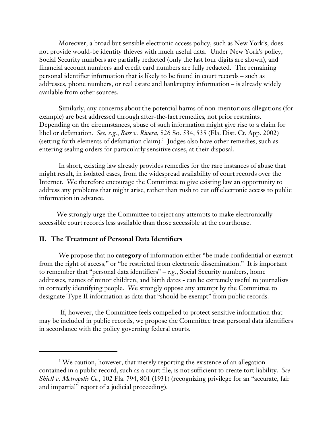Moreover, a broad but sensible electronic access policy, such as New York's, does not provide would-be identity thieves with much useful data. Under New York's policy, Social Security numbers are partially redacted (only the last four digits are shown), and financial account numbers and credit card numbers are fully redacted. The remaining personal identifier information that is likely to be found in court records – such as addresses, phone numbers, or real estate and bankruptcy information – is already widely available from other sources.

Similarly, any concerns about the potential harms of non-meritorious allegations (for example) are best addressed through after-the-fact remedies, not prior restraints. Depending on the circumstances, abuse of such information might give rise to a claim for libel or defamation. *See, e.g.*, *Bass v. Rivera,* 826 So. 534, 535 (Fla. Dist. Ct. App. 2002) (setting forth elements of defamation claim). $^5$  Judges also have other remedies, such as entering sealing orders for particularly sensitive cases, at their disposal.

In short, existing law already provides remedies for the rare instances of abuse that might result, in isolated cases, from the widespread availability of court records over the Internet. We therefore encourage the Committee to give existing law an opportunity to address any problems that might arise, rather than rush to cut off electronic access to public information in advance.

We strongly urge the Committee to reject any attempts to make electronically accessible court records less available than those accessible at the courthouse.

## **II. The Treatment of Personal Data Identifiers**

We propose that no **category** of information either "be made confidential or exempt from the right of access," or "be restricted from electronic dissemination." It is important to remember that "personal data identifiers" –  $e.g.,$  Social Security numbers, home addresses, names of minor children, and birth dates - can be extremely useful to journalists in correctly identifying people. We strongly oppose any attempt by the Committee to designate Type II information as data that "should be exempt" from public records.

 If, however, the Committee feels compelled to protect sensitive information that may be included in public records, we propose the Committee treat personal data identifiers in accordance with the policy governing federal courts.

<sup>&</sup>lt;sup>5</sup> We caution, however, that merely reporting the existence of an allegation contained in a public record, such as a court file, is not sufficient to create tort liability. *See Shiell v. Metropolis Co.,* 102 Fla. 794, 801 (1931) (recognizing privilege for an "accurate, fair and impartial" report of a judicial proceeding).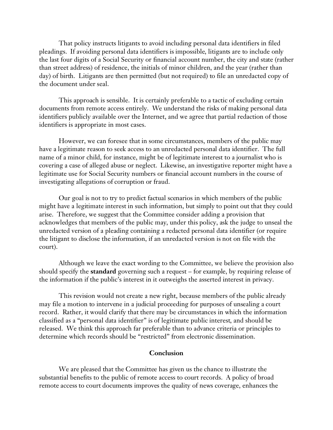That policy instructs litigants to avoid including personal data identifiers in filed pleadings. If avoiding personal data identifiers is impossible, litigants are to include only the last four digits of a Social Security or financial account number, the city and state (rather than street address) of residence, the initials of minor children, and the year (rather than day) of birth. Litigants are then permitted (but not required) to file an unredacted copy of the document under seal.

This approach is sensible. It is certainly preferable to a tactic of excluding certain documents from remote access entirely. We understand the risks of making personal data identifiers publicly available over the Internet, and we agree that partial redaction of those identifiers is appropriate in most cases.

However, we can foresee that in some circumstances, members of the public may have a legitimate reason to seek access to an unredacted personal data identifier. The full name of a minor child, for instance, might be of legitimate interest to a journalist who is covering a case of alleged abuse or neglect. Likewise, an investigative reporter might have a legitimate use for Social Security numbers or financial account numbers in the course of investigating allegations of corruption or fraud.

Our goal is not to try to predict factual scenarios in which members of the public might have a legitimate interest in such information, but simply to point out that they could arise. Therefore, we suggest that the Committee consider adding a provision that acknowledges that members of the public may, under this policy, ask the judge to unseal the unredacted version of a pleading containing a redacted personal data identifier (or require the litigant to disclose the information, if an unredacted version is not on file with the court).

Although we leave the exact wording to the Committee, we believe the provision also should specify the **standard** governing such a request – for example, by requiring release of the information if the public's interest in it outweighs the asserted interest in privacy.

This revision would not create a new right, because members of the public already may file a motion to intervene in a judicial proceeding for purposes of unsealing a court record. Rather, it would clarify that there may be circumstances in which the information classified as a "personal data identifier" is of legitimate public interest, and should be released. We think this approach far preferable than to advance criteria or principles to determine which records should be "restricted" from electronic dissemination.

## **Conclusion**

We are pleased that the Committee has given us the chance to illustrate the substantial benefits to the public of remote access to court records. A policy of broad remote access to court documents improves the quality of news coverage, enhances the